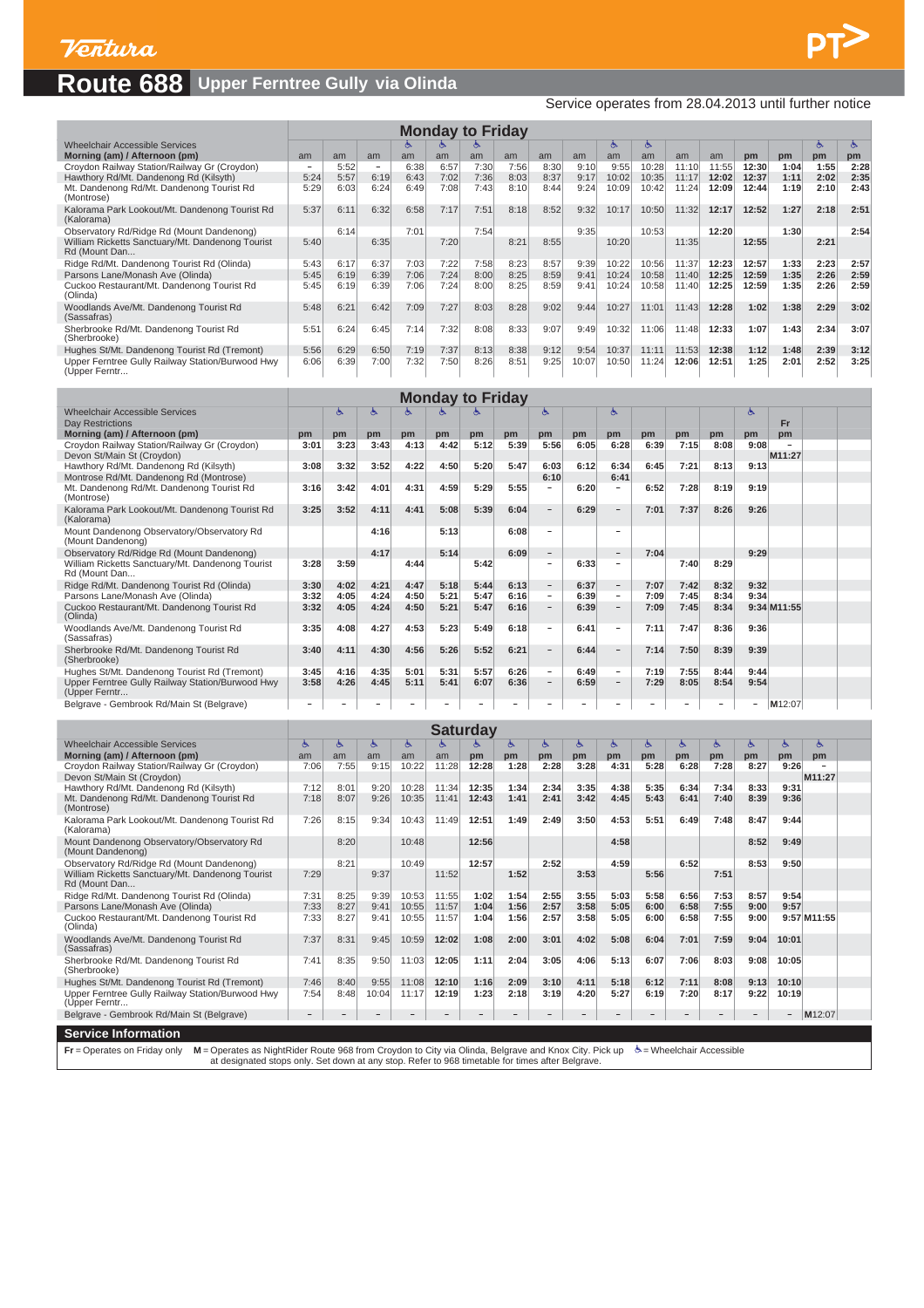### **Route 688 Upper Ferntree Gully via Olinda**

Service operates from 28.04.2013 until further notice

 $PT$ 

| <b>Monday to Friday</b><br>Ò.<br>త<br>ం<br>ం                      |      |      |                          |      |      |      |      |      |       |       |       |       |       |       |      |      |                 |
|-------------------------------------------------------------------|------|------|--------------------------|------|------|------|------|------|-------|-------|-------|-------|-------|-------|------|------|-----------------|
| <b>Wheelchair Accessible Services</b>                             |      |      |                          |      |      |      |      |      |       |       |       |       |       |       |      |      |                 |
| Morning (am) / Afternoon (pm)                                     | am   | am   | am                       | am   | am   | am   | am   | am   | am    | am    | am    | am    | am    | pm    | pm   | pm   | pm <sub>1</sub> |
| Croydon Railway Station/Railway Gr (Croydon)                      | -    | 5:52 | $\overline{\phantom{a}}$ | 6:38 | 6:57 | 7:30 | 7:56 | 8:30 | 9:10  | 9:55  | 10:28 | 11:10 | 11:55 | 12:30 | 1:04 | 1:55 | 2:28            |
| Hawthory Rd/Mt. Dandenong Rd (Kilsyth)                            | 5:24 | 5:57 | 6:19                     | 6:43 | 7:02 | 7:36 | 8:03 | 8:37 | 9:17  | 10:02 | 10:35 | 11:17 | 12:02 | 12:37 | 1:11 | 2:02 | 2:35            |
| Mt. Dandenong Rd/Mt. Dandenong Tourist Rd<br>(Montrose)           | 5:29 | 6:03 | 6:24                     | 6:49 | 7:08 | 7:43 | 8:10 | 8:44 | 9:24  | 10:09 | 10:42 | 11:24 | 12:09 | 12:44 | 1:19 | 2:10 | 2:43            |
| Kalorama Park Lookout/Mt. Dandenong Tourist Rd<br>(Kalorama)      | 5:37 | 6:11 | 6:32                     | 6:58 | 7:17 | 7:51 | 8:18 | 8:52 | 9:32  | 10:17 | 10:50 | 11:32 | 12:17 | 12:52 | 1:27 | 2:18 | 2:51            |
| Observatory Rd/Ridge Rd (Mount Dandenong)                         |      | 6:14 |                          | 7:01 |      | 7:54 |      |      | 9:35  |       | 10:53 |       | 12:20 |       | 1:30 |      | 2:54            |
| William Ricketts Sanctuary/Mt. Dandenong Tourist<br>Rd (Mount Dan | 5:40 |      | 6:35                     |      | 7:20 |      | 8:21 | 8:55 |       | 10:20 |       | 11:35 |       | 12:55 |      | 2:21 |                 |
| Ridge Rd/Mt. Dandenong Tourist Rd (Olinda)                        | 5:43 | 6:17 | 6:37                     | 7:03 | 7:22 | 7:58 | 8:23 | 8:57 | 9:39  | 10:22 | 10:56 | 11:37 | 12:23 | 12:57 | 1:33 | 2:23 | 2:57            |
| Parsons Lane/Monash Ave (Olinda)                                  | 5:45 | 6:19 | 6:39                     | 7:06 | 7:24 | 8:00 | 8:25 | 8:59 | 9:41  | 10:24 | 10:58 | 11:40 | 12:25 | 12:59 | 1:35 | 2:26 | 2:59            |
| Cuckoo Restaurant/Mt. Dandenong Tourist Rd<br>(Olinda)            | 5:45 | 6:19 | 6:39                     | 7:06 | 7:24 | 8:00 | 8:25 | 8:59 | 9:41  | 10:24 | 10:58 | 11:40 | 12:25 | 12:59 | 1:35 | 2:26 | 2:59            |
| Woodlands Ave/Mt. Dandenong Tourist Rd<br>(Sassafras)             | 5:48 | 6:21 | 6:42                     | 7:09 | 7:27 | 8:03 | 8:28 | 9:02 | 9:44  | 10:27 | 11:01 | 11:43 | 12:28 | 1:02  | 1:38 | 2:29 | 3:02            |
| Sherbrooke Rd/Mt. Dandenong Tourist Rd<br>(Sherbrooke)            | 5:51 | 6:24 | 6:45                     | 7:14 | 7:32 | 8:08 | 8:33 | 9:07 | 9:49  | 10:32 | 11:06 | 11:48 | 12:33 | 1:07  | 1:43 | 2:34 | 3:07            |
| Hughes St/Mt. Dandenong Tourist Rd (Tremont)                      | 5:56 | 6:29 | 6:50                     | 7:19 | 7:37 | 8:13 | 8:38 | 9:12 | 9:54  | 10:37 | 11:11 | 11:53 | 12:38 | 1:12  | 1:48 | 2:39 | 3:12            |
| Upper Ferntree Gully Railway Station/Burwood Hwy<br>(Upper Ferntr | 6:06 | 6:39 | 7:00                     | 7:32 | 7:50 | 8:26 | 8:51 | 9:25 | 10:07 | 10:50 | 11:24 | 12:06 | 12:51 | 1:25  | 2:01 | 2:52 | 3:25            |

| <b>Monday to Friday</b><br>髙<br>Ò.<br>త<br>త<br>ా                 |      |      |      |      |      |      |      |                          |      |                          |      |      |      |      |                    |  |
|-------------------------------------------------------------------|------|------|------|------|------|------|------|--------------------------|------|--------------------------|------|------|------|------|--------------------|--|
| <b>Wheelchair Accessible Services</b>                             |      |      |      |      |      |      |      |                          |      |                          |      |      |      |      |                    |  |
| Day Restrictions                                                  |      |      |      |      |      |      |      |                          |      |                          |      |      |      |      | <b>Fr</b>          |  |
| Morning (am) / Afternoon (pm)                                     | pm   | pm   | pm   | pm   | pm   | pm   | pm   | pm                       | pm   | pm                       | pm   | pm   | pm   | pm   | pm                 |  |
| Croydon Railway Station/Railway Gr (Croydon)                      | 3:01 | 3:23 | 3:43 | 4:13 | 4:42 | 5:12 | 5:39 | 5:56                     | 6:05 | 6:28                     | 6:39 | 7:15 | 8:08 | 9:08 |                    |  |
| Devon St/Main St (Croydon)                                        |      |      |      |      |      |      |      |                          |      |                          |      |      |      |      | M11:27             |  |
| Hawthory Rd/Mt. Dandenong Rd (Kilsyth)                            | 3:08 | 3:32 | 3:52 | 4:22 | 4:50 | 5:20 | 5:47 | 6:03                     | 6:12 | 6:34                     | 6:45 | 7:21 | 8:13 | 9:13 |                    |  |
| Montrose Rd/Mt. Dandenong Rd (Montrose)                           |      |      |      |      |      |      |      | 6:10                     |      | 6:41                     |      |      |      |      |                    |  |
| Mt. Dandenong Rd/Mt. Dandenong Tourist Rd<br>(Montrose)           | 3:16 | 3:42 | 4:01 | 4:31 | 4:59 | 5:29 | 5:55 | $\overline{\phantom{a}}$ | 6:20 | $\overline{\phantom{a}}$ | 6:52 | 7:28 | 8:19 | 9:19 |                    |  |
| Kalorama Park Lookout/Mt. Dandenong Tourist Rd<br>(Kalorama)      | 3:25 | 3:52 | 4:11 | 4:41 | 5:08 | 5:39 | 6:04 | $\overline{\phantom{a}}$ | 6:29 | $\overline{\phantom{a}}$ | 7:01 | 7:37 | 8:26 | 9:26 |                    |  |
| Mount Dandenong Observatory/Observatory Rd<br>(Mount Dandenong)   |      |      | 4:16 |      | 5:13 |      | 6:08 | $\sim$                   |      | $\sim$                   |      |      |      |      |                    |  |
| Observatory Rd/Ridge Rd (Mount Dandenong)                         |      |      | 4:17 |      | 5:14 |      | 6:09 | $\overline{\phantom{a}}$ |      | $\overline{\phantom{a}}$ | 7:04 |      |      | 9:29 |                    |  |
| William Ricketts Sanctuary/Mt. Dandenong Tourist<br>Rd (Mount Dan | 3:28 | 3:59 |      | 4:44 |      | 5:42 |      | $\overline{\phantom{a}}$ | 6:33 | $\overline{\phantom{a}}$ |      | 7:40 | 8:29 |      |                    |  |
| Ridge Rd/Mt. Dandenong Tourist Rd (Olinda)                        | 3:30 | 4:02 | 4:21 | 4:47 | 5:18 | 5:44 | 6:13 | $\overline{\phantom{a}}$ | 6:37 | $\qquad \qquad -$        | 7:07 | 7:42 | 8:32 | 9:32 |                    |  |
| Parsons Lane/Monash Ave (Olinda)                                  | 3:32 | 4:05 | 4:24 | 4:50 | 5:21 | 5:47 | 6:16 | $\overline{\phantom{0}}$ | 6:39 | $\overline{\phantom{a}}$ | 7:09 | 7:45 | 8:34 | 9:34 |                    |  |
| Cuckoo Restaurant/Mt. Dandenong Tourist Rd<br>(Olinda)            | 3:32 | 4:05 | 4:24 | 4:50 | 5:21 | 5:47 | 6:16 | $\overline{\phantom{a}}$ | 6:39 | $\overline{\phantom{a}}$ | 7:09 | 7:45 | 8:34 |      | 9:34 M11:55        |  |
| Woodlands Ave/Mt. Dandenong Tourist Rd<br>(Sassafras)             | 3:35 | 4:08 | 4:27 | 4:53 | 5:23 | 5:49 | 6:18 | $\overline{\phantom{a}}$ | 6:41 | $\qquad \qquad$          | 7:11 | 7:47 | 8:36 | 9:36 |                    |  |
| Sherbrooke Rd/Mt. Dandenong Tourist Rd<br>(Sherbrooke)            | 3:40 | 4:11 | 4:30 | 4:56 | 5:26 | 5:52 | 6:21 | $\overline{\phantom{a}}$ | 6:44 | $\overline{\phantom{a}}$ | 7:14 | 7:50 | 8:39 | 9:39 |                    |  |
| Hughes St/Mt. Dandenong Tourist Rd (Tremont)                      | 3:45 | 4:16 | 4:35 | 5:01 | 5:31 | 5:57 | 6:26 | $\overline{\phantom{a}}$ | 6:49 | $\overline{\phantom{m}}$ | 7:19 | 7:55 | 8:44 | 9:44 |                    |  |
| Upper Ferntree Gully Railway Station/Burwood Hwy<br>(Upper Ferntr | 3:58 | 4:26 | 4:45 | 5:11 | 5:41 | 6:07 | 6:36 |                          | 6:59 | $\overline{\phantom{a}}$ | 7:29 | 8:05 | 8:54 | 9:54 |                    |  |
| Belgrave - Gembrook Rd/Main St (Belgrave)                         |      |      |      |      |      |      |      |                          | -    |                          |      |      |      | ۰.   | M <sub>12:07</sub> |  |

**Saturday**

| <b>Wheelchair Accessible Services</b><br>৬<br>Ğ<br>৬<br>৬<br>俧<br>৬<br>్<br>త<br>్<br>రా<br>రా<br>రా<br>ఆ<br>க<br>G<br>Morning (am) / Afternoon (pm)<br>am<br>am<br>pm<br>pm<br>pm<br>am<br>am<br>am<br>pm<br>pm<br>pm<br>pm<br>pm<br>pm<br>pm<br>pm<br>7:55<br>1:28<br>5:28<br>9:26<br>Croydon Railway Station/Railway Gr (Croydon)<br>7:06<br>9:15<br>10:22<br>11:28<br>12:28<br>2:28<br>3:28<br>4:31<br>6:28<br>7:28<br>8:27<br>M11:27<br>Devon St/Main St (Croydon) |  |
|-------------------------------------------------------------------------------------------------------------------------------------------------------------------------------------------------------------------------------------------------------------------------------------------------------------------------------------------------------------------------------------------------------------------------------------------------------------------------|--|
|                                                                                                                                                                                                                                                                                                                                                                                                                                                                         |  |
|                                                                                                                                                                                                                                                                                                                                                                                                                                                                         |  |
|                                                                                                                                                                                                                                                                                                                                                                                                                                                                         |  |
|                                                                                                                                                                                                                                                                                                                                                                                                                                                                         |  |
| Hawthory Rd/Mt. Dandenong Rd (Kilsyth)<br>11:34<br>1:34<br>3:35<br>4:38<br>5:35<br>8:33<br>9:31<br>7:12<br>8:01<br>9:20<br>10:28<br>12:35<br>2:34<br>6:34<br>7:34                                                                                                                                                                                                                                                                                                       |  |
| 3:42<br>12:43<br>1:41<br>2:41<br>4:45<br>5:43<br>7:40<br>7:18<br>8:07<br>9:26<br>10:35<br>11:41<br>6:41<br>8:39<br>9:36<br>Mt. Dandenong Rd/Mt. Dandenong Tourist Rd<br>(Montrose)                                                                                                                                                                                                                                                                                      |  |
| 3:50<br>5:51<br>8:15<br>12:51<br>1:49<br>4:53<br>8:47<br>9:44<br>7:26<br>9:34<br>10:43<br>2:49<br>6:49<br>7:48<br>Kalorama Park Lookout/Mt. Dandenong Tourist Rd<br>11:49<br>(Kalorama)                                                                                                                                                                                                                                                                                 |  |
| 12:56<br>Mount Dandenong Observatory/Observatory Rd<br>8:20<br>8:52<br>9:49<br>10:48<br>4:58<br>(Mount Dandenong)                                                                                                                                                                                                                                                                                                                                                       |  |
| 10:49<br>12:57<br>2:52<br>4:59<br>6:52<br>8:53<br>9:50<br>Observatory Rd/Ridge Rd (Mount Dandenong)<br>8:21                                                                                                                                                                                                                                                                                                                                                             |  |
| 1:52<br>William Ricketts Sanctuary/Mt. Dandenong Tourist<br>7:29<br>9:37<br>3:53<br>5:56<br>7:51<br>11:52<br>Rd (Mount Dan                                                                                                                                                                                                                                                                                                                                              |  |
| 5:58<br>7:31<br>8:25<br>9:39<br>1:54<br>3:55<br>5:03<br>6:56<br>7:53<br>8:57<br>9:54<br>Ridge Rd/Mt. Dandenong Tourist Rd (Olinda)<br>10:53<br>11:55<br>1:02<br>2:55                                                                                                                                                                                                                                                                                                    |  |
| 8:27<br>2:57<br>3:58<br>6:58<br>7:55<br>9:57<br>Parsons Lane/Monash Ave (Olinda)<br>7:33<br>10:55<br>11:57<br>1:04<br>1:56<br>5:05<br>6:00<br>9:41<br>9:00                                                                                                                                                                                                                                                                                                              |  |
| 8:27<br>1:56<br>2:57<br>3:58<br>6:58<br>1:04<br>5:05<br>6:00<br>7:55<br>9:57 M11:55<br>Cuckoo Restaurant/Mt. Dandenong Tourist Rd<br>7:33<br>9:41<br>10:55<br>11:57<br>9:00<br>(Olinda)                                                                                                                                                                                                                                                                                 |  |
| 7:37<br>8:31<br>1:08<br>2:00<br>3:01<br>4:02<br>5:08<br>6:04<br>7:01<br>9:04<br>10:01<br>Woodlands Ave/Mt. Dandenong Tourist Rd<br>9:45<br>10:59<br>12:02<br>7:59<br>(Sassafras)                                                                                                                                                                                                                                                                                        |  |
| 8:35<br>1:11<br>2:04<br>4:06<br>7:41<br>9:50<br>12:05<br>3:05<br>5:13<br>6:07<br>7:06<br>8:03<br>9:08<br>10:05<br>Sherbrooke Rd/Mt. Dandenong Tourist Rd<br>11:03<br>(Sherbrooke)                                                                                                                                                                                                                                                                                       |  |
| 1:16<br>2:09<br>3:10<br>5:18<br>6:12<br>7:11<br>9:13<br>Hughes St/Mt. Dandenong Tourist Rd (Tremont)<br>8:40<br>9:55<br>11:08<br>12:10<br>4:11<br>8:08<br>10:10<br>7:46                                                                                                                                                                                                                                                                                                 |  |
| 2:18<br>Upper Ferntree Gully Railway Station/Burwood Hwy<br>8:48<br>10:04<br>1:23<br>3:19<br>4:20<br>5:27<br>6:19<br>7:20<br>8:17<br>9:22<br>7:54<br>11:17<br>12:19<br>10:19<br>(Upper Ferntr                                                                                                                                                                                                                                                                           |  |
| Belgrave - Gembrook Rd/Main St (Belgrave)<br>M12:07<br>$\overline{\phantom{0}}$<br>.                                                                                                                                                                                                                                                                                                                                                                                    |  |

**Service Information**

Fr = Operates on Friday only M = Operates as NightRider Route 968 from Croydon to City via Olinda, Belgrave and Knox City. Pick up (b = Wheelchair Accessible<br>at designated stops only. Set down at any stop. Refer to 968 ti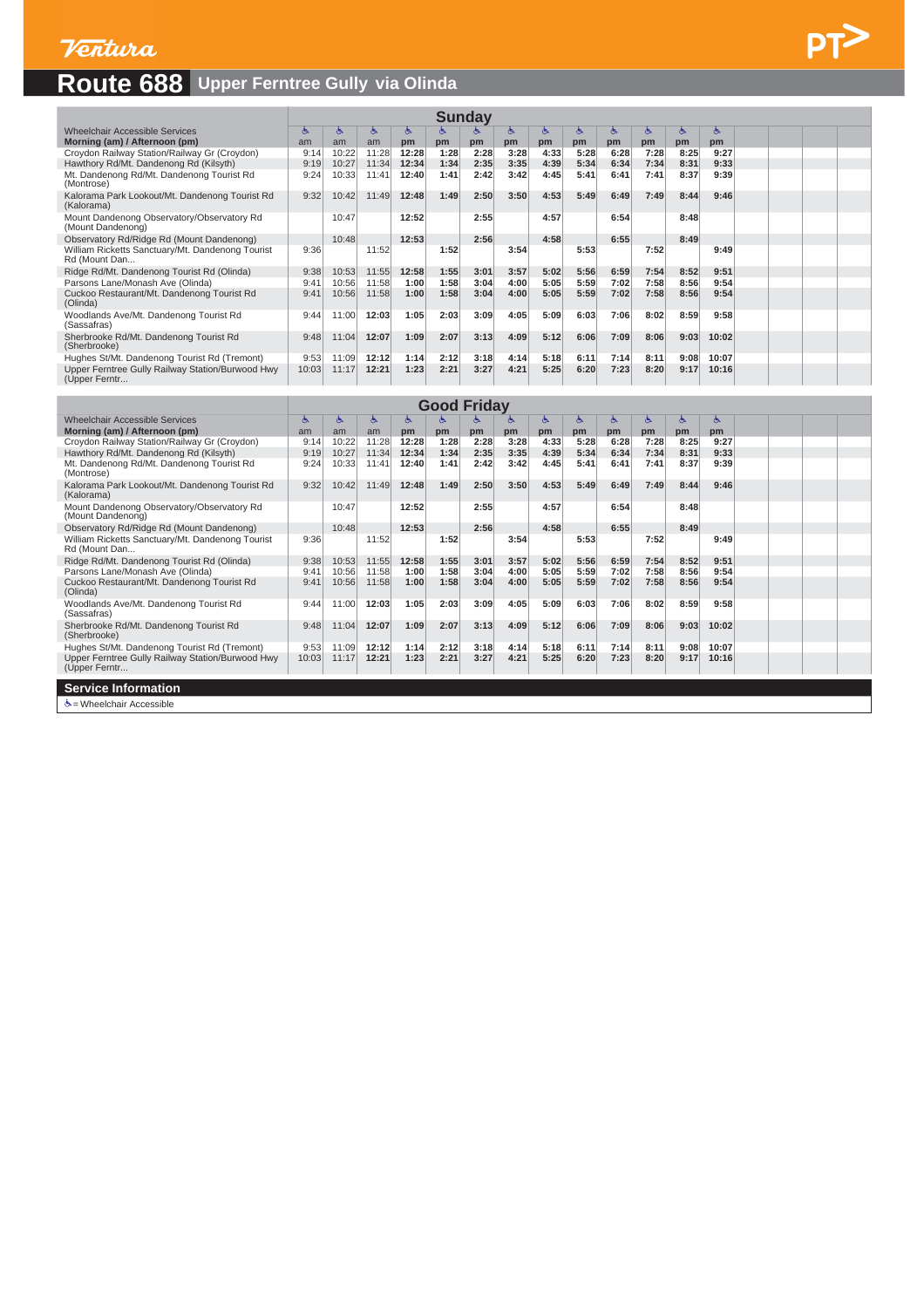# **Route 688 Upper Ferntree Gully via Olinda**

|                                                                   | <b>Sunday</b><br>్<br>俧<br>৬<br>ঙ<br>త<br>偽<br>రా<br>ে<br>G.<br>ం<br>్<br>G. |       |       |       |      |                    |      |      |      |      |      |           |       |  |  |  |
|-------------------------------------------------------------------|------------------------------------------------------------------------------|-------|-------|-------|------|--------------------|------|------|------|------|------|-----------|-------|--|--|--|
| <b>Wheelchair Accessible Services</b>                             |                                                                              |       |       |       |      |                    |      |      |      |      |      |           |       |  |  |  |
| Morning (am) / Afternoon (pm)                                     | am                                                                           | am    | am    | pm    | pm   | pm                 | pm   | pm   | pm   | pm   | pm   | <b>pm</b> | pm    |  |  |  |
| Croydon Railway Station/Railway Gr (Croydon)                      | 9:14                                                                         | 10:22 | 11:28 | 12:28 | 1:28 | 2:28               | 3:28 | 4:33 | 5:28 | 6:28 | 7:28 | 8:25      | 9:27  |  |  |  |
| Hawthory Rd/Mt. Dandenong Rd (Kilsyth)                            | 9:19                                                                         | 10:27 | 11:34 | 12:34 | 1:34 | 2:35               | 3:35 | 4:39 | 5:34 | 6:34 | 7:34 | 8:31      | 9:33  |  |  |  |
| Mt. Dandenong Rd/Mt. Dandenong Tourist Rd<br>(Montrose)           | 9:24                                                                         | 10:33 | 11:41 | 12:40 | 1:41 | 2:42               | 3:42 | 4:45 | 5:41 | 6:41 | 7:41 | 8:37      | 9:39  |  |  |  |
| Kalorama Park Lookout/Mt. Dandenong Tourist Rd<br>(Kalorama)      | 9:32                                                                         | 10:42 | 11:49 | 12:48 | 1:49 | 2:50               | 3:50 | 4:53 | 5:49 | 6:49 | 7:49 | 8:44      | 9:46  |  |  |  |
| Mount Dandenong Observatory/Observatory Rd<br>(Mount Dandenong)   |                                                                              | 10:47 |       | 12:52 |      | 2:55               |      | 4:57 |      | 6:54 |      | 8:48      |       |  |  |  |
| Observatory Rd/Ridge Rd (Mount Dandenong)                         |                                                                              | 10:48 |       | 12:53 |      | 2:56               |      | 4:58 |      | 6:55 |      | 8:49      |       |  |  |  |
| William Ricketts Sanctuary/Mt. Dandenong Tourist<br>Rd (Mount Dan | 9:36                                                                         |       | 11:52 |       | 1:52 |                    | 3:54 |      | 5:53 |      | 7:52 |           | 9:49  |  |  |  |
| Ridge Rd/Mt. Dandenong Tourist Rd (Olinda)                        | 9:38                                                                         | 10:53 | 11:55 | 12:58 | 1:55 | 3:01               | 3:57 | 5:02 | 5:56 | 6:59 | 7:54 | 8:52      | 9:51  |  |  |  |
| Parsons Lane/Monash Ave (Olinda)                                  | 9:41                                                                         | 10:56 | 11:58 | 1:00  | 1:58 | 3:04               | 4:00 | 5:05 | 5:59 | 7:02 | 7:58 | 8:56      | 9:54  |  |  |  |
| Cuckoo Restaurant/Mt. Dandenong Tourist Rd<br>(Olinda)            | 9:41                                                                         | 10:56 | 11:58 | 1:00  | 1:58 | 3:04               | 4:00 | 5:05 | 5:59 | 7:02 | 7:58 | 8:56      | 9:54  |  |  |  |
| Woodlands Ave/Mt. Dandenong Tourist Rd<br>(Sassafras)             | 9:44                                                                         | 11:00 | 12:03 | 1:05  | 2:03 | 3:09               | 4:05 | 5:09 | 6:03 | 7:06 | 8:02 | 8:59      | 9:58  |  |  |  |
| Sherbrooke Rd/Mt. Dandenong Tourist Rd<br>(Sherbrooke)            | 9:48                                                                         | 11:04 | 12:07 | 1:09  | 2:07 | 3:13               | 4:09 | 5:12 | 6:06 | 7:09 | 8:06 | 9:03      | 10:02 |  |  |  |
| Hughes St/Mt. Dandenong Tourist Rd (Tremont)                      | 9:53                                                                         | 11:09 | 12:12 | 1:14  | 2:12 | 3:18               | 4:14 | 5:18 | 6:11 | 7:14 | 8:11 | 9:08      | 10:07 |  |  |  |
| Upper Ferntree Gully Railway Station/Burwood Hwy<br>(Upper Ferntr | 10:03                                                                        | 11:17 | 12:21 | 1:23  | 2:21 | 3:27               | 4:21 | 5:25 | 6:20 | 7:23 | 8:20 | 9:17      | 10:16 |  |  |  |
|                                                                   |                                                                              |       |       |       |      |                    |      |      |      |      |      |           |       |  |  |  |
|                                                                   |                                                                              |       |       |       |      | <b>Good Friday</b> |      |      |      |      |      |           |       |  |  |  |
| Wheelchair Accessible Services                                    | ్                                                                            | க     | డి    | ঙ     | ঙ    | 儁                  | 45   | డి   | డి   | ్    | డి   | ్         | ঙ     |  |  |  |
| Morning (am) / Afternoon (pm)                                     | am                                                                           | am    | am    | pm    | pm   | pm                 | pm   | pm   | pm   | pm   | pm   | pm        | pm    |  |  |  |
| Croydon Railway Station/Railway Gr (Croydon)                      | $Q \cdot 14$                                                                 | 10.22 | 11.28 | 12.28 | 1.28 | 2.28               | 3.28 | 4.33 | 5.28 | 6.28 | 7.28 | 8.25      | 9.27  |  |  |  |

| Morning (am) / Afternoon (pm)                                     | am    | am    | am    | pm    | pm   | pm   | pm   | pm   | pm   | pm   | pm   | pm   | pm    |  |  |
|-------------------------------------------------------------------|-------|-------|-------|-------|------|------|------|------|------|------|------|------|-------|--|--|
| Croydon Railway Station/Railway Gr (Croydon)                      | 9:14  | 10:22 | 11:28 | 12:28 | 1:28 | 2:28 | 3:28 | 4:33 | 5:28 | 6:28 | 7:28 | 8:25 | 9:27  |  |  |
| Hawthory Rd/Mt. Dandenong Rd (Kilsyth)                            | 9:19  | 10:27 | 11:34 | 12:34 | 1:34 | 2:35 | 3:35 | 4:39 | 5:34 | 6:34 | 7:34 | 8:31 | 9:33  |  |  |
| Mt. Dandenong Rd/Mt. Dandenong Tourist Rd<br>(Montrose)           | 9:24  | 10:33 | 11:41 | 12:40 | 1:41 | 2:42 | 3:42 | 4:45 | 5:41 | 6:41 | 7:41 | 8:37 | 9:39  |  |  |
| Kalorama Park Lookout/Mt. Dandenong Tourist Rd<br>(Kalorama)      | 9:32  | 10:42 | 11:49 | 12:48 | 1:49 | 2:50 | 3:50 | 4:53 | 5:49 | 6:49 | 7:49 | 8:44 | 9:46  |  |  |
| Mount Dandenong Observatory/Observatory Rd<br>(Mount Dandenong)   |       | 10:47 |       | 12:52 |      | 2:55 |      | 4:57 |      | 6:54 |      | 8:48 |       |  |  |
| Observatory Rd/Ridge Rd (Mount Dandenong)                         |       | 10:48 |       | 12:53 |      | 2:56 |      | 4:58 |      | 6:55 |      | 8:49 |       |  |  |
| William Ricketts Sanctuary/Mt. Dandenong Tourist<br>Rd (Mount Dan | 9:36  |       | 11:52 |       | 1:52 |      | 3:54 |      | 5:53 |      | 7:52 |      | 9:49  |  |  |
| Ridge Rd/Mt. Dandenong Tourist Rd (Olinda)                        | 9:38  | 10:53 | 11:55 | 12:58 | 1:55 | 3:01 | 3:57 | 5:02 | 5:56 | 6:59 | 7:54 | 8:52 | 9:51  |  |  |
| Parsons Lane/Monash Ave (Olinda)                                  | 9:41  | 10:56 | 11:58 | 1:00  | 1:58 | 3:04 | 4:00 | 5:05 | 5:59 | 7:02 | 7:58 | 8:56 | 9:54  |  |  |
| Cuckoo Restaurant/Mt. Dandenong Tourist Rd<br>(Olinda)            | 9:41  | 10:56 | 11:58 | 1:00  | 1:58 | 3:04 | 4:00 | 5:05 | 5:59 | 7:02 | 7:58 | 8:56 | 9:54  |  |  |
| Woodlands Ave/Mt. Dandenong Tourist Rd<br>(Sassafras)             | 9:44  | 11:00 | 12:03 | 1:05  | 2:03 | 3:09 | 4:05 | 5:09 | 6:03 | 7:06 | 8:02 | 8:59 | 9:58  |  |  |
| Sherbrooke Rd/Mt. Dandenong Tourist Rd<br>(Sherbrooke)            | 9:48  | 11:04 | 12:07 | 1:09  | 2:07 | 3:13 | 4:09 | 5:12 | 6:06 | 7:09 | 8:06 | 9:03 | 10:02 |  |  |
| Hughes St/Mt. Dandenong Tourist Rd (Tremont)                      | 9:53  | 11:09 | 12:12 | 1:14  | 2:12 | 3:18 | 4:14 | 5:18 | 6:11 | 7:14 | 8:11 | 9:08 | 10:07 |  |  |
| Upper Ferntree Gully Railway Station/Burwood Hwy<br>(Upper Ferntr | 10:03 | 11:17 | 12:21 | 1:23  | 2:21 | 3:27 | 4:21 | 5:25 | 6:20 | 7:23 | 8:20 | 9:17 | 10:16 |  |  |
| <b>Service Information</b>                                        |       |       |       |       |      |      |      |      |      |      |      |      |       |  |  |
| う = Wheelchair Accessible                                         |       |       |       |       |      |      |      |      |      |      |      |      |       |  |  |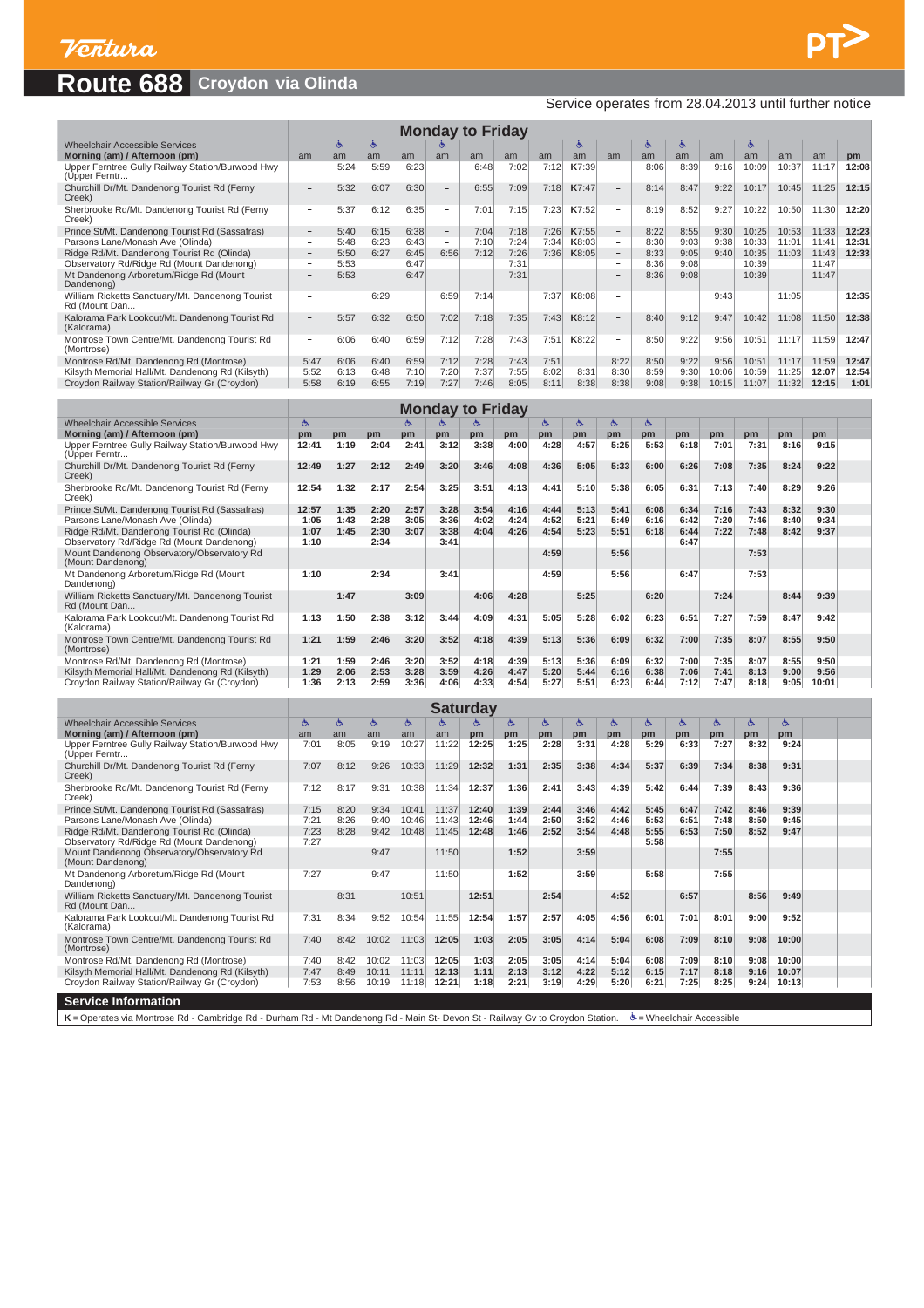## **Route 688 Croydon via Olinda**

#### Service operates from 28.04.2013 until further notice

| <b>Monday to Friday</b><br>త<br>৬<br>জ<br>ా<br>ര<br>G<br>G        |      |      |      |      |                          |      |      |      |       |                          |      |      |       |       |       |       |       |
|-------------------------------------------------------------------|------|------|------|------|--------------------------|------|------|------|-------|--------------------------|------|------|-------|-------|-------|-------|-------|
| Wheelchair Accessible Services                                    |      |      |      |      |                          |      |      |      |       |                          |      |      |       |       |       |       |       |
| Morning (am) / Afternoon (pm)                                     | am   | am   | am   | am   | am                       | am   | am   | am   | am    | am                       | am   | am   | am    | am    | am    | am    | pm    |
| Upper Ferntree Gully Railway Station/Burwood Hwy<br>(Upper Ferntr | -    | 5:24 | 5:59 | 6:23 | $\overline{\phantom{a}}$ | 6:48 | 7:02 | 7:12 | K7:39 | $\overline{\phantom{a}}$ | 8:06 | 8:39 | 9:16  | 10:09 | 10:37 | 11:17 | 12:08 |
| Churchill Dr/Mt. Dandenong Tourist Rd (Ferny<br>Creek)            | -    | 5:32 | 6:07 | 6:30 | $\overline{\phantom{a}}$ | 6:55 | 7:09 | 7:18 | K7:47 | $\sim$                   | 8:14 | 8:47 | 9:22  | 10:17 | 10:45 | 11:25 | 12:15 |
| Sherbrooke Rd/Mt. Dandenong Tourist Rd (Ferny<br>Creek)           | -    | 5:37 | 6:12 | 6:35 | $\overline{\phantom{a}}$ | 7:01 | 7:15 | 7:23 | K7:52 | $\overline{\phantom{a}}$ | 8:19 | 8:52 | 9:27  | 10:22 | 10:50 | 11:30 | 12:20 |
| Prince St/Mt. Dandenong Tourist Rd (Sassafras)                    | $-$  | 5:40 | 6:15 | 6:38 | $\qquad \qquad -$        | 7:04 | 7:18 | 7:26 | K7:55 | $ \,$                    | 8:22 | 8:55 | 9:30  | 10:25 | 10:53 | 11:33 | 12:23 |
| Parsons Lane/Monash Ave (Olinda)                                  | -    | 5:48 | 6:23 | 6:43 | $\overline{\phantom{a}}$ | 7:10 | 7:24 | 7:34 | K8:03 | $\overline{\phantom{a}}$ | 8:30 | 9:03 | 9:38  | 10:33 | 11:01 | 11:41 | 12:31 |
| Ridge Rd/Mt. Dandenong Tourist Rd (Olinda)                        | $-$  | 5:50 | 6:27 | 6:45 | 6:56                     | 7:12 | 7:26 | 7:36 | K8:05 | $-$                      | 8:33 | 9:05 | 9:40  | 10:35 | 11:03 | 11:43 | 12:33 |
| Observatory Rd/Ridge Rd (Mount Dandenong)                         |      | 5:53 |      | 6:47 |                          |      | 7:31 |      |       | $\overline{\phantom{a}}$ | 8:36 | 9:08 |       | 10:39 |       | 11:47 |       |
| Mt Dandenong Arboretum/Ridge Rd (Mount<br>Dandenong)              |      | 5:53 |      | 6:47 |                          |      | 7:31 |      |       |                          | 8:36 | 9:08 |       | 10:39 |       | 11:47 |       |
| William Ricketts Sanctuary/Mt. Dandenong Tourist<br>Rd (Mount Dan |      |      | 6:29 |      | 6:59                     | 7:14 |      | 7:37 | K8:08 | $\overline{\phantom{a}}$ |      |      | 9:43  |       | 11:05 |       | 12:35 |
| Kalorama Park Lookout/Mt. Dandenong Tourist Rd<br>(Kalorama)      |      | 5:57 | 6:32 | 6:50 | 7:02                     | 7:18 | 7:35 | 7:43 | K8:12 | $\overline{\phantom{0}}$ | 8:40 | 9:12 | 9:47  | 10:42 | 11:08 | 11:50 | 12:38 |
| Montrose Town Centre/Mt. Dandenong Tourist Rd<br>(Montrose)       | -    | 6:06 | 6:40 | 6:59 | 7:12                     | 7:28 | 7:43 | 7:51 | K8:22 | $\overline{\phantom{a}}$ | 8:50 | 9:22 | 9:56  | 10:51 | 11:17 | 11:59 | 12:47 |
| Montrose Rd/Mt. Dandenong Rd (Montrose)                           | 5:47 | 6:06 | 6:40 | 6:59 | 7:12                     | 7:28 | 7:43 | 7:51 |       | 8:22                     | 8:50 | 9:22 | 9:56  | 10:51 | 11:17 | 11:59 | 12:47 |
| Kilsyth Memorial Hall/Mt. Dandenong Rd (Kilsyth)                  | 5:52 | 6:13 | 6:48 | 7:10 | 7:20                     | 7:37 | 7:55 | 8:02 | 8:31  | 8:30                     | 8:59 | 9:30 | 10:06 | 10:59 | 11:25 | 12:07 | 12:54 |
| Croydon Railway Station/Railway Gr (Croydon)                      | 5:58 | 6:19 | 6:55 | 7:19 | 7:27                     | 7:46 | 8:05 | 8:11 | 8:38  | 8:38                     | 9:08 | 9:38 | 10:15 | 11:07 | 11:32 | 12:15 | 1:01  |
|                                                                   |      |      |      |      |                          |      |      |      |       |                          |      |      |       |       |       |       |       |

| <b>Monday to Friday</b><br><b>Wheelchair Accessible Services</b><br>৬<br>డ<br>త<br>త<br>心<br>రా<br>డ |       |      |      |      |      |      |      |      |      |      |      |      |      |      |      |       |  |
|------------------------------------------------------------------------------------------------------|-------|------|------|------|------|------|------|------|------|------|------|------|------|------|------|-------|--|
|                                                                                                      |       |      |      |      |      |      |      |      |      |      |      |      |      |      |      |       |  |
| Morning (am) / Afternoon (pm)                                                                        | pm    | pm   | pm   | pm   | pm   | pm   | pm   | pm   | pm   | pm   | pm   | pm   | pm   | pm   | pm   | pm    |  |
| Upper Ferntree Gully Railway Station/Burwood Hwy<br>(Upper Ferntr                                    | 12:41 | 1:19 | 2:04 | 2:41 | 3:12 | 3:38 | 4:00 | 4:28 | 4:57 | 5:25 | 5:53 | 6:18 | 7:01 | 7:31 | 8:16 | 9:15  |  |
| Churchill Dr/Mt. Dandenong Tourist Rd (Ferny<br>Creek)                                               | 12:49 | 1:27 | 2:12 | 2:49 | 3:20 | 3:46 | 4:08 | 4:36 | 5:05 | 5:33 | 6:00 | 6:26 | 7:08 | 7:35 | 8:24 | 9:22  |  |
| Sherbrooke Rd/Mt. Dandenong Tourist Rd (Ferny<br>Creek)                                              | 12:54 | 1:32 | 2:17 | 2:54 | 3:25 | 3:51 | 4:13 | 4:41 | 5:10 | 5:38 | 6:05 | 6:31 | 7:13 | 7:40 | 8:29 | 9:26  |  |
| Prince St/Mt. Dandenong Tourist Rd (Sassafras)                                                       | 12:57 | 1:35 | 2:20 | 2:57 | 3:28 | 3:54 | 4:16 | 4:44 | 5:13 | 5:41 | 6:08 | 6:34 | 7:16 | 7:43 | 8:32 | 9:30  |  |
| Parsons Lane/Monash Ave (Olinda)                                                                     | 1:05  | 1:43 | 2:28 | 3:05 | 3:36 | 4:02 | 4:24 | 4:52 | 5:21 | 5:49 | 6:16 | 6:42 | 7:20 | 7:46 | 8:40 | 9:34  |  |
| Ridge Rd/Mt. Dandenong Tourist Rd (Olinda)                                                           | 1:07  | 1:45 | 2:30 | 3:07 | 3:38 | 4:04 | 4:26 | 4:54 | 5:23 | 5:51 | 6:18 | 6:44 | 7:22 | 7:48 | 8:42 | 9:37  |  |
| Observatory Rd/Ridge Rd (Mount Dandenong)                                                            | 1:10  |      | 2:34 |      | 3:41 |      |      |      |      |      |      | 6:47 |      |      |      |       |  |
| Mount Dandenong Observatory/Observatory Rd<br>(Mount Dandenong)                                      |       |      |      |      |      |      |      | 4:59 |      | 5:56 |      |      |      | 7:53 |      |       |  |
| Mt Dandenong Arboretum/Ridge Rd (Mount<br>Dandenong)                                                 | 1:10  |      | 2:34 |      | 3:41 |      |      | 4:59 |      | 5:56 |      | 6:47 |      | 7:53 |      |       |  |
| William Ricketts Sanctuary/Mt. Dandenong Tourist<br>Rd (Mount Dan                                    |       | 1:47 |      | 3:09 |      | 4:06 | 4:28 |      | 5:25 |      | 6:20 |      | 7:24 |      | 8:44 | 9:39  |  |
| Kalorama Park Lookout/Mt. Dandenong Tourist Rd<br>(Kalorama)                                         | 1:13  | 1:50 | 2:38 | 3:12 | 3:44 | 4:09 | 4:31 | 5:05 | 5:28 | 6:02 | 6:23 | 6:51 | 7:27 | 7:59 | 8:47 | 9:42  |  |
| Montrose Town Centre/Mt. Dandenong Tourist Rd<br>(Montrose)                                          | 1:21  | 1:59 | 2:46 | 3:20 | 3:52 | 4:18 | 4:39 | 5:13 | 5:36 | 6:09 | 6:32 | 7:00 | 7:35 | 8:07 | 8:55 | 9:50  |  |
| Montrose Rd/Mt. Dandenong Rd (Montrose)                                                              | 1:21  | 1:59 | 2:46 | 3:20 | 3:52 | 4:18 | 4:39 | 5:13 | 5:36 | 6:09 | 6:32 | 7:00 | 7:35 | 8:07 | 8:55 | 9:50  |  |
| Kilsyth Memorial Hall/Mt. Dandenong Rd (Kilsyth)                                                     | 1:29  | 2:06 | 2:53 | 3:28 | 3:59 | 4:26 | 4:47 | 5:20 | 5:44 | 6:16 | 6:38 | 7:06 | 7:41 | 8:13 | 9:00 | 9:56  |  |
| Croydon Railway Station/Railway Gr (Croydon)                                                         | 1:36  | 2:13 | 2:59 | 3:36 | 4:06 | 4:33 | 4:54 | 5:27 | 5:51 | 6:23 | 6:44 | 7:12 | 7:47 | 8:18 | 9:05 | 10:01 |  |

| <b>Saturday</b><br>髙<br>亽<br>亽<br>৬<br>Ò.<br>ে<br>త<br>্চ<br>ে<br>G.<br>ে<br>্চ<br>ా |      |      |       |       |       |       |      |      |      |      |      |      |      |      |           |  |
|--------------------------------------------------------------------------------------|------|------|-------|-------|-------|-------|------|------|------|------|------|------|------|------|-----------|--|
| <b>Wheelchair Accessible Services</b>                                                |      |      |       |       |       |       |      |      |      |      |      |      |      |      |           |  |
| Morning (am) / Afternoon (pm)                                                        | am   | am   | am    | am    | am    | pm    | pm   | pm   | pm   | pm   | pm   | pm   | pm   | pm   | <b>pm</b> |  |
| Upper Ferntree Gully Railway Station/Burwood Hwy<br>(Upper Ferntr                    | 7:01 | 8:05 | 9:19  | 10:27 | 11:22 | 12:25 | 1:25 | 2:28 | 3:31 | 4:28 | 5:29 | 6:33 | 7:27 | 8:32 | 9:24      |  |
| Churchill Dr/Mt. Dandenong Tourist Rd (Ferny<br>Creek)                               | 7:07 | 8:12 | 9:26  | 10:33 | 11:29 | 12:32 | 1:31 | 2:35 | 3:38 | 4:34 | 5:37 | 6:39 | 7:34 | 8:38 | 9:31      |  |
| Sherbrooke Rd/Mt. Dandenong Tourist Rd (Ferny<br>Creek)                              | 7:12 | 8:17 | 9:31  | 10:38 | 11:34 | 12:37 | 1:36 | 2:41 | 3:43 | 4:39 | 5:42 | 6:44 | 7:39 | 8:43 | 9:36      |  |
| Prince St/Mt. Dandenong Tourist Rd (Sassafras)                                       | 7:15 | 8:20 | 9:34  | 10:41 | 11:37 | 12:40 | 1:39 | 2:44 | 3:46 | 4:42 | 5:45 | 6:47 | 7:42 | 8:46 | 9:39      |  |
| Parsons Lane/Monash Ave (Olinda)                                                     | 7:21 | 8:26 | 9:40  | 10:46 | 11:43 | 12:46 | 1:44 | 2:50 | 3:52 | 4:46 | 5:53 | 6:51 | 7:48 | 8:50 | 9:45      |  |
| Ridge Rd/Mt. Dandenong Tourist Rd (Olinda)                                           | 7:23 | 8:28 | 9:42  | 10:48 | 11:45 | 12:48 | 1:46 | 2:52 | 3:54 | 4:48 | 5:55 | 6:53 | 7:50 | 8:52 | 9:47      |  |
| Observatory Rd/Ridge Rd (Mount Dandenong)                                            | 7:27 |      |       |       |       |       |      |      |      |      | 5:58 |      |      |      |           |  |
| Mount Dandenong Observatory/Observatory Rd<br>(Mount Dandenong)                      |      |      | 9:47  |       | 11:50 |       | 1:52 |      | 3:59 |      |      |      | 7:55 |      |           |  |
| Mt Dandenong Arboretum/Ridge Rd (Mount<br>Dandenong)                                 | 7:27 |      | 9:47  |       | 11:50 |       | 1:52 |      | 3:59 |      | 5:58 |      | 7:55 |      |           |  |
| William Ricketts Sanctuary/Mt. Dandenong Tourist<br>Rd (Mount Dan                    |      | 8:31 |       | 10:51 |       | 12:51 |      | 2:54 |      | 4:52 |      | 6:57 |      | 8:56 | 9:49      |  |
| Kalorama Park Lookout/Mt. Dandenong Tourist Rd<br>(Kalorama)                         | 7:31 | 8:34 | 9:52  | 10:54 | 11:55 | 12:54 | 1:57 | 2:57 | 4:05 | 4:56 | 6:01 | 7:01 | 8:01 | 9:00 | 9:52      |  |
| Montrose Town Centre/Mt. Dandenong Tourist Rd<br>(Montrose)                          | 7:40 | 8:42 | 10:02 | 11:03 | 12:05 | 1:03  | 2:05 | 3:05 | 4:14 | 5:04 | 6:08 | 7:09 | 8:10 | 9:08 | 10:00     |  |
| Montrose Rd/Mt. Dandenong Rd (Montrose)                                              | 7:40 | 8:42 | 10:02 | 11:03 | 12:05 | 1:03  | 2:05 | 3:05 | 4:14 | 5:04 | 6:08 | 7:09 | 8:10 | 9:08 | 10:00     |  |
| Kilsyth Memorial Hall/Mt. Dandenong Rd (Kilsyth)                                     | 7:47 | 8:49 | 10:11 | 11:11 | 12:13 | 1:11  | 2:13 | 3:12 | 4:22 | 5:12 | 6:15 | 7:17 | 8:18 | 9:16 | 10:07     |  |
| Croydon Railway Station/Railway Gr (Croydon)                                         | 7:53 | 8:56 | 10:19 | 11:18 | 12:21 | 1:18  | 2:21 | 3:19 | 4:29 | 5:20 | 6:21 | 7:25 | 8:25 | 9:24 | 10:13     |  |
| <b>Service Information</b>                                                           |      |      |       |       |       |       |      |      |      |      |      |      |      |      |           |  |

K = Operates via Montrose Rd - Cambridge Rd - Durham Rd - Mt Dandenong Rd - Main St- Devon St - Railway Gv to Croydon Station.  $\dot{\mathcal{B}}$  = Wheelchair Accessible